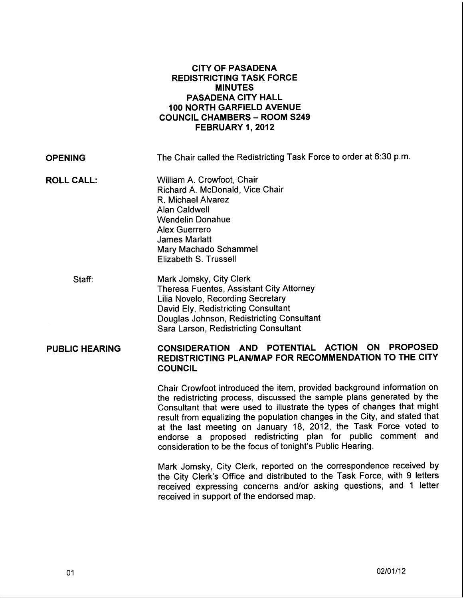## CITY OF PASADENA REDISTRICTING TASK FORCE MINUTES PASADENA CITY HALL 100 NORTH GARFIELD AVENUE COUNCIL CHAMBERS- ROOM S249 FEBRUARY 1, 2012

**OPENING** The Chair called the Redistricting Task Force to order at 6:30 p.m.

- ROLL CALL: William A. Crowfoot, Chair Richard A. McDonald, Vice Chair R. Michael Alvarez Alan Caldwell Wendelin Donahue Alex Guerrero James Marlatt Mary Machado Schammel Elizabeth S. Trussell
	- Staff: Mark Jomsky, City Clerk Theresa Fuentes, Assistant City Attorney Lilia Novelo, Recording Secretary David Ely, Redistricting Consultant Douglas Johnson, Redistricting Consultant Sara Larson, Redistricting Consultant

## PUBLIC HEARING CONSIDERATION AND POTENTIAL ACTION ON PROPOSED REDISTRICTING PLAN/MAP FOR RECOMMENDATION TO THE CITY COUNCIL

Chair Crowfoot introduced the item, provided background information on the redistricting process, discussed the sample plans generated by the Consultant that were used to illustrate the types of changes that might result from equalizing the population changes in the City, and stated that at the last meeting on January 18, 2012, the Task Force voted to endorse a proposed redistricting plan for public comment and consideration to be the focus of tonight's Public Hearing.

Mark Jomsky, City Clerk, reported on the correspondence received by the City Clerk's Office and distributed to the Task Force, with 9 letters received expressing concerns and/or asking questions, and 1 letter received in support of the endorsed map.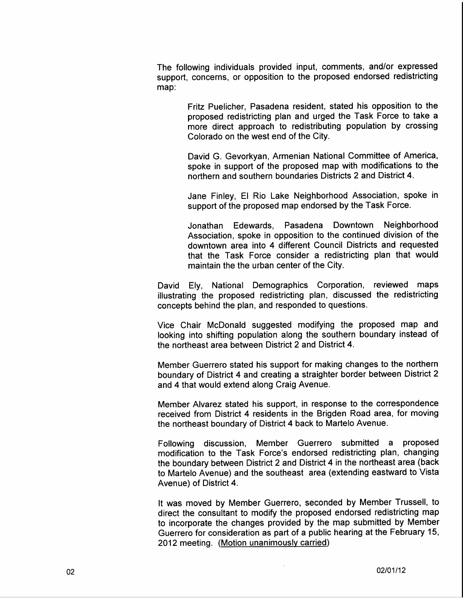The following individuals provided input, comments, and/or expressed support, concerns, or opposition to the proposed endorsed redistricting map:

> Fritz Puelicher, Pasadena resident, stated his opposition to the proposed redistricting plan and urged the Task Force to take a more direct approach to redistributing population by crossing Colorado on the west end of the City.

> David G. Gevorkyan, Armenian National Committee of America, spoke in support of the proposed map with modifications to the northern and southern boundaries Districts 2 and District 4.

> Jane Finley, El Rio Lake Neighborhood Association, spoke in support of the proposed map endorsed by the Task Force.

> Jonathan Edewards, Pasadena Downtown Neighborhood Association, spoke in opposition to the continued division of the downtown area into 4 different Council Districts and requested that the Task Force consider a redistricting plan that would maintain the the urban center of the City.

David Ely, National Demographics Corporation, reviewed maps illustrating the proposed redistricting plan, discussed the redistricting concepts behind the plan, and responded to questions.

Vice Chair McDonald suggested modifying the proposed map and looking into shifting population along the southern boundary instead of the northeast area between District 2 and District 4.

Member Guerrero stated his support for making changes to the northern boundary of District 4 and creating a straighter border between District 2 and 4 that would extend along Craig Avenue.

Member Alvarez stated his support, in response to the correspondence received from District 4 residents in the Brigden Road area, for moving the northeast boundary of District 4 back to Martelo Avenue.

Following discussion, Member Guerrero submitted a proposed modification to the Task Force's endorsed redistricting plan, changing the boundary between District 2 and District 4 in the northeast area (back to Martelo Avenue) and the southeast area (extending eastward to Vista Avenue) of District 4.

It was moved by Member Guerrero, seconded by Member Trussell, to direct the consultant to modify the proposed endorsed redistricting map to incorporate the changes provided by the map submitted by Member Guerrero for consideration as part of a public hearing at the February 15, 2012 meeting. (Motion unanimously carried)